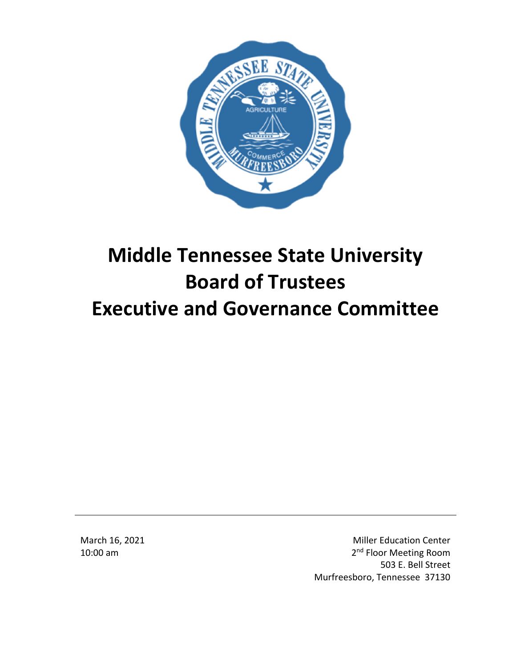

# **Middle Tennessee State University Board of Trustees Executive and Governance Committee**

March 16, 2021 10:00 am

Miller Education Center 2<sup>nd</sup> Floor Meeting Room 503 E. Bell Street Murfreesboro, Tennessee 37130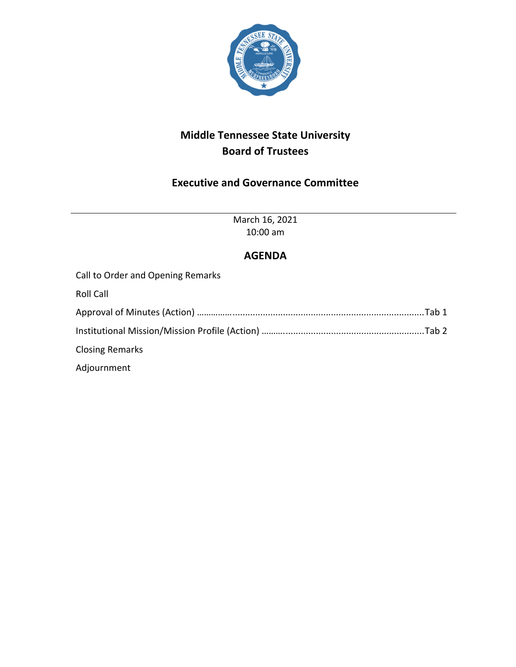

# **Middle Tennessee State University Board of Trustees**

# **Executive and Governance Committee**

March 16, 2021 10:00 am

## **AGENDA**

| Call to Order and Opening Remarks                                                 |  |
|-----------------------------------------------------------------------------------|--|
| <b>Roll Call</b>                                                                  |  |
|                                                                                   |  |
| Institutional Mission/Mission Profile (Action) ………………………………………………………………………………………… |  |
| <b>Closing Remarks</b>                                                            |  |
| Adjournment                                                                       |  |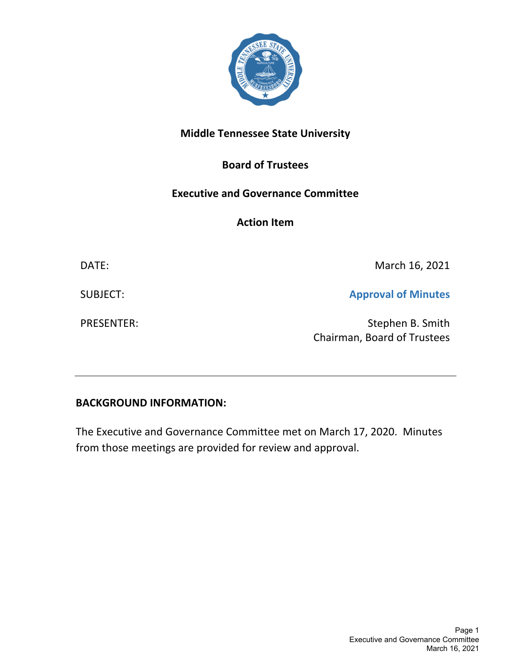

# **Middle Tennessee State University**

## **Board of Trustees**

## **Executive and Governance Committee**

**Action Item**

DATE: March 16, 2021

SUBJECT: **Approval of Minutes**

PRESENTER: Stephen B. Smith Chairman, Board of Trustees

## **BACKGROUND INFORMATION:**

The Executive and Governance Committee met on March 17, 2020. Minutes from those meetings are provided for review and approval.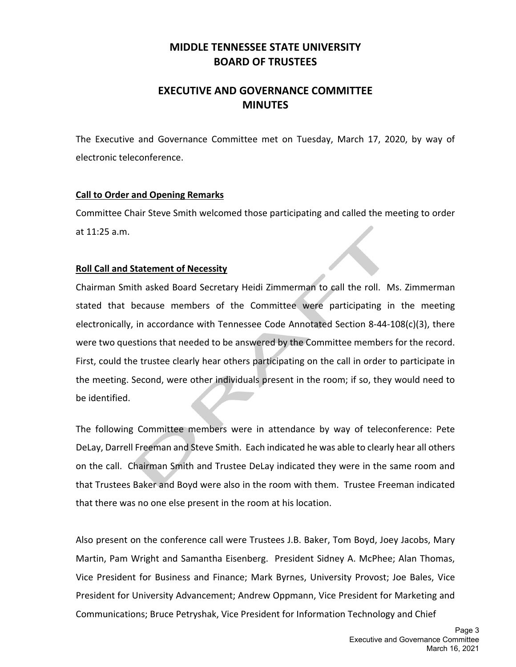## **MIDDLE TENNESSEE STATE UNIVERSITY BOARD OF TRUSTEES**

## **EXECUTIVE AND GOVERNANCE COMMITTEE MINUTES**

The Executive and Governance Committee met on Tuesday, March 17, 2020, by way of electronic teleconference.

## **Call to Order and Opening Remarks**

Committee Chair Steve Smith welcomed those participating and called the meeting to order at 11:25 a.m.

## **Roll Call and Statement of Necessity**

Chairman Smith asked Board Secretary Heidi Zimmerman to call the roll. Ms. Zimmerman stated that because members of the Committee were participating in the meeting electronically, in accordance with Tennessee Code Annotated Section 8‐44‐108(c)(3), there were two questions that needed to be answered by the Committee members for the record. First, could the trustee clearly hear others participating on the call in order to participate in the meeting. Second, were other individuals present in the room; if so, they would need to be identified.

The following Committee members were in attendance by way of teleconference: Pete DeLay, Darrell Freeman and Steve Smith. Each indicated he was able to clearly hear all others on the call. Chairman Smith and Trustee DeLay indicated they were in the same room and that Trustees Baker and Boyd were also in the room with them. Trustee Freeman indicated that there was no one else present in the room at his location.

Also present on the conference call were Trustees J.B. Baker, Tom Boyd, Joey Jacobs, Mary Martin, Pam Wright and Samantha Eisenberg. President Sidney A. McPhee; Alan Thomas, Vice President for Business and Finance; Mark Byrnes, University Provost; Joe Bales, Vice President for University Advancement; Andrew Oppmann, Vice President for Marketing and Communications; Bruce Petryshak, Vice President for Information Technology and Chief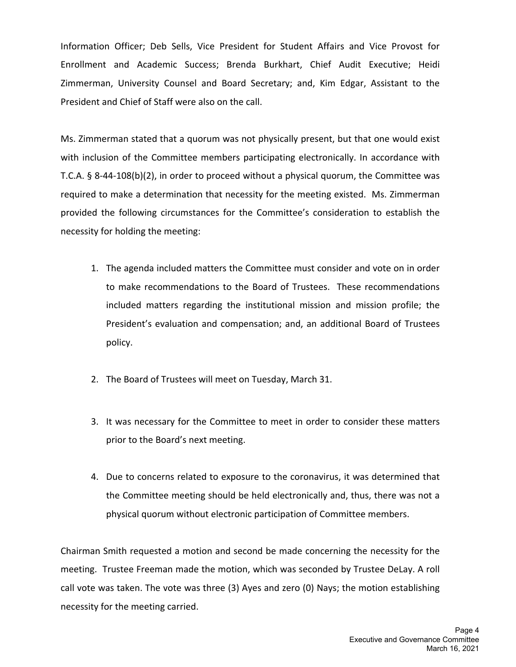Information Officer; Deb Sells, Vice President for Student Affairs and Vice Provost for Enrollment and Academic Success; Brenda Burkhart, Chief Audit Executive; Heidi Zimmerman, University Counsel and Board Secretary; and, Kim Edgar, Assistant to the President and Chief of Staff were also on the call.

Ms. Zimmerman stated that a quorum was not physically present, but that one would exist with inclusion of the Committee members participating electronically. In accordance with T.C.A. § 8‐44‐108(b)(2), in order to proceed without a physical quorum, the Committee was required to make a determination that necessity for the meeting existed. Ms. Zimmerman provided the following circumstances for the Committee's consideration to establish the necessity for holding the meeting:

- 1. The agenda included matters the Committee must consider and vote on in order to make recommendations to the Board of Trustees. These recommendations included matters regarding the institutional mission and mission profile; the President's evaluation and compensation; and, an additional Board of Trustees policy.
- 2. The Board of Trustees will meet on Tuesday, March 31.
- 3. It was necessary for the Committee to meet in order to consider these matters prior to the Board's next meeting.
- 4. Due to concerns related to exposure to the coronavirus, it was determined that the Committee meeting should be held electronically and, thus, there was not a physical quorum without electronic participation of Committee members.

Chairman Smith requested a motion and second be made concerning the necessity for the meeting. Trustee Freeman made the motion, which was seconded by Trustee DeLay. A roll call vote was taken. The vote was three (3) Ayes and zero (0) Nays; the motion establishing necessity for the meeting carried.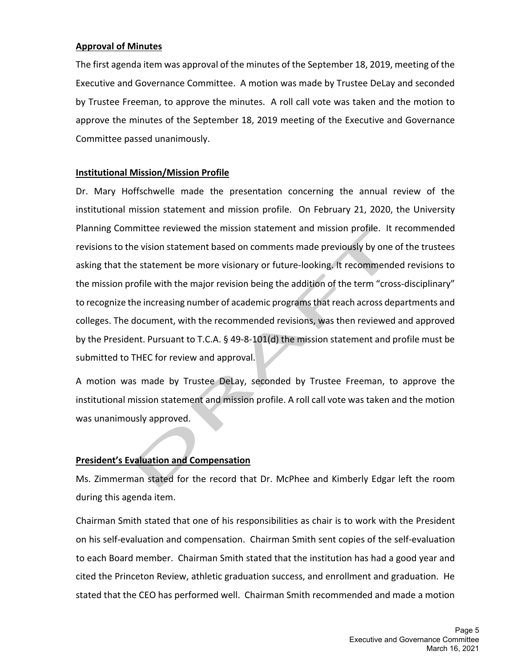### **Approval of Minutes**

The first agenda item was approval of the minutes of the September 18, 2019, meeting of the Executive and Governance Committee. A motion was made by Trustee DeLay and seconded by Trustee Freeman, to approve the minutes. A roll call vote was taken and the motion to approve the minutes of the September 18, 2019 meeting of the Executive and Governance Committee passed unanimously.

## **Institutional Mission/Mission Profile**

Dr. Mary Hoffschwelle made the presentation concerning the annual review of the institutional mission statement and mission profile. On February 21, 2020, the University Planning Committee reviewed the mission statement and mission profile. It recommended revisions to the vision statement based on comments made previously by one of the trustees asking that the statement be more visionary or future‐looking. It recommended revisions to the mission profile with the major revision being the addition of the term "cross-disciplinary" to recognize the increasing number of academic programs that reach across departments and colleges. The document, with the recommended revisions, was then reviewed and approved by the President. Pursuant to T.C.A. § 49‐8‐101(d) the mission statement and profile must be submitted to THEC for review and approval.

A motion was made by Trustee DeLay, seconded by Trustee Freeman, to approve the institutional mission statement and mission profile. A roll call vote was taken and the motion was unanimously approved.

## **President's Evaluation and Compensation**

Ms. Zimmerman stated for the record that Dr. McPhee and Kimberly Edgar left the room during this agenda item.

Chairman Smith stated that one of his responsibilities as chair is to work with the President on his self‐evaluation and compensation. Chairman Smith sent copies of the self‐evaluation to each Board member. Chairman Smith stated that the institution has had a good year and cited the Princeton Review, athletic graduation success, and enrollment and graduation. He stated that the CEO has performed well. Chairman Smith recommended and made a motion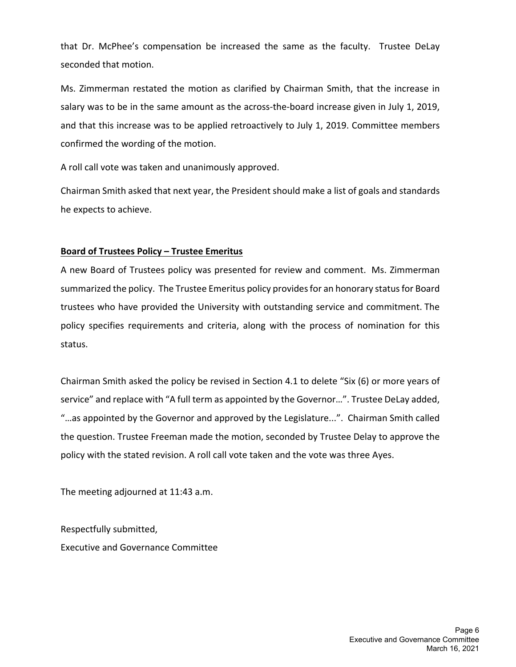that Dr. McPhee's compensation be increased the same as the faculty. Trustee DeLay seconded that motion.

Ms. Zimmerman restated the motion as clarified by Chairman Smith, that the increase in salary was to be in the same amount as the across-the-board increase given in July 1, 2019, and that this increase was to be applied retroactively to July 1, 2019. Committee members confirmed the wording of the motion.

A roll call vote was taken and unanimously approved.

Chairman Smith asked that next year, the President should make a list of goals and standards he expects to achieve.

#### **Board of Trustees Policy – Trustee Emeritus**

A new Board of Trustees policy was presented for review and comment. Ms. Zimmerman summarized the policy. The Trustee Emeritus policy providesfor an honorary statusfor Board trustees who have provided the University with outstanding service and commitment. The policy specifies requirements and criteria, along with the process of nomination for this status.

Chairman Smith asked the policy be revised in Section 4.1 to delete "Six (6) or more years of service" and replace with "A full term as appointed by the Governor…". Trustee DeLay added, "…as appointed by the Governor and approved by the Legislature...". Chairman Smith called the question. Trustee Freeman made the motion, seconded by Trustee Delay to approve the policy with the stated revision. A roll call vote taken and the vote was three Ayes.

The meeting adjourned at 11:43 a.m.

Respectfully submitted, Executive and Governance Committee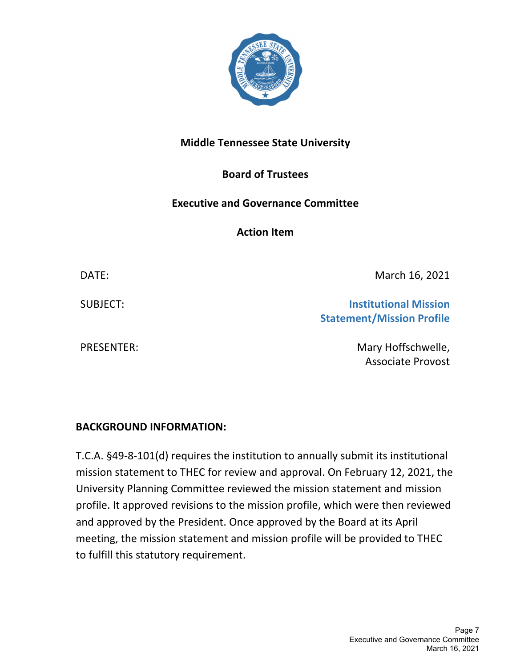

# **Middle Tennessee State University**

# **Board of Trustees**

## **Executive and Governance Committee**

**Action Item**

DATE: March 16, 2021

SUBJECT: **Institutional Mission Statement/Mission Profile**

PRESENTER: Mary Hoffschwelle, Associate Provost

# **BACKGROUND INFORMATION:**

T.C.A. §49‐8‐101(d) requires the institution to annually submit its institutional mission statement to THEC for review and approval. On February 12, 2021, the University Planning Committee reviewed the mission statement and mission profile. It approved revisions to the mission profile, which were then reviewed and approved by the President. Once approved by the Board at its April meeting, the mission statement and mission profile will be provided to THEC to fulfill this statutory requirement.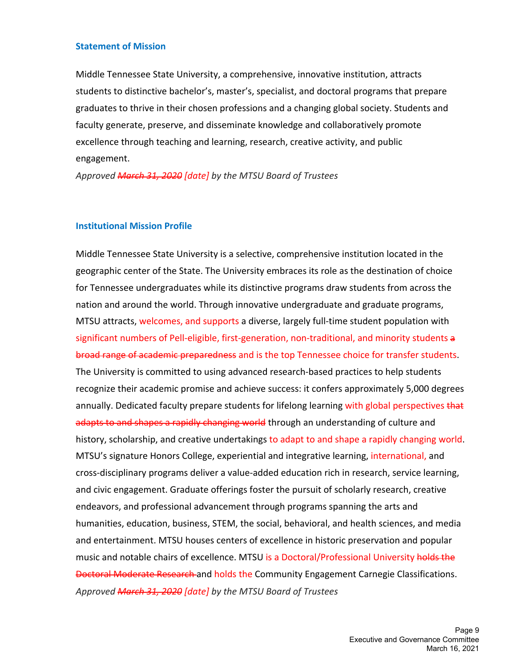#### **Statement of Mission**

Middle Tennessee State University, a comprehensive, innovative institution, attracts students to distinctive bachelor's, master's, specialist, and doctoral programs that prepare graduates to thrive in their chosen professions and a changing global society. Students and faculty generate, preserve, and disseminate knowledge and collaboratively promote excellence through teaching and learning, research, creative activity, and public engagement.

*Approved March 31, 2020 [date] by the MTSU Board of Trustees*

#### **Institutional Mission Profile**

Middle Tennessee State University is a selective, comprehensive institution located in the geographic center of the State. The University embraces its role as the destination of choice for Tennessee undergraduates while its distinctive programs draw students from across the nation and around the world. Through innovative undergraduate and graduate programs, MTSU attracts, welcomes, and supports a diverse, largely full-time student population with significant numbers of Pell-eligible, first-generation, non-traditional, and minority students a broad range of academic preparedness and is the top Tennessee choice for transfer students. The University is committed to using advanced research-based practices to help students recognize their academic promise and achieve success: it confers approximately 5,000 degrees annually. Dedicated faculty prepare students for lifelong learning with global perspectives that adapts to and shapes a rapidly changing world through an understanding of culture and history, scholarship, and creative undertakings to adapt to and shape a rapidly changing world. MTSU's signature Honors College, experiential and integrative learning, international, and cross‐disciplinary programs deliver a value‐added education rich in research, service learning, and civic engagement. Graduate offerings foster the pursuit of scholarly research, creative endeavors, and professional advancement through programs spanning the arts and humanities, education, business, STEM, the social, behavioral, and health sciences, and media and entertainment. MTSU houses centers of excellence in historic preservation and popular music and notable chairs of excellence. MTSU is a Doctoral/Professional University holds the Doctoral Moderate Research and holds the Community Engagement Carnegie Classifications. *Approved March 31, 2020 [date] by the MTSU Board of Trustees*